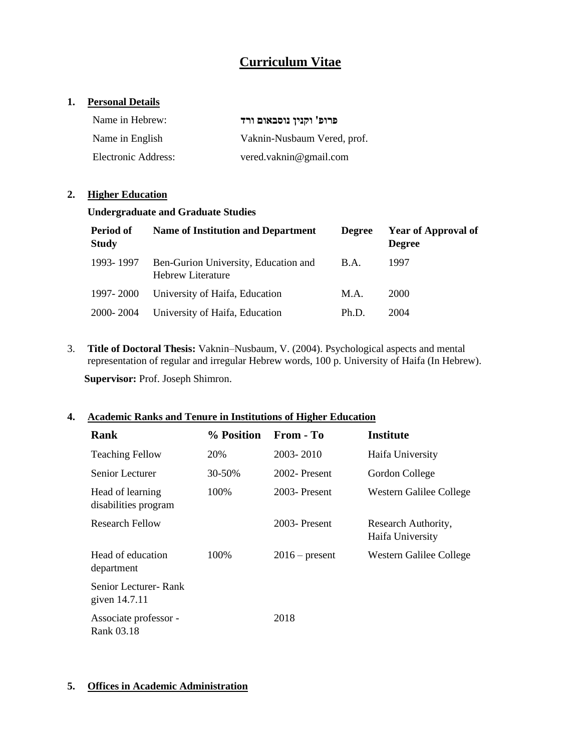# **Curriculum Vitae**

## **1. Personal Details**

| Name in Hebrew:     | פרופ' וקנין נוסבאום ורד     |
|---------------------|-----------------------------|
| Name in English     | Vaknin-Nusbaum Vered, prof. |
| Electronic Address: | vered.vaknin@gmail.com      |

#### **2. Higher Education**

#### **Undergraduate and Graduate Studies**

| Period of<br><b>Study</b> | <b>Name of Institution and Department</b>                        | <b>Degree</b> | <b>Year of Approval of</b><br><b>Degree</b> |
|---------------------------|------------------------------------------------------------------|---------------|---------------------------------------------|
| 1993-1997                 | Ben-Gurion University, Education and<br><b>Hebrew Literature</b> | <b>B.A.</b>   | 1997                                        |
| 1997-2000                 | University of Haifa, Education                                   | M.A.          | 2000                                        |
| 2000-2004                 | University of Haifa, Education                                   | Ph.D.         | 2004                                        |

3. **Title of Doctoral Thesis:** Vaknin–Nusbaum, V. (2004). Psychological aspects and mental representation of regular and irregular Hebrew words, 100 p. University of Haifa (In Hebrew).

**Supervisor:** Prof. Joseph Shimron.

## **4. Academic Ranks and Tenure in Institutions of Higher Education**

| Rank                                     | % Position | From - To        | Institute                               |
|------------------------------------------|------------|------------------|-----------------------------------------|
| <b>Teaching Fellow</b>                   | 20%        | 2003-2010        | Haifa University                        |
| Senior Lecturer                          | 30-50%     | 2002-Present     | Gordon College                          |
| Head of learning<br>disabilities program | 100\%      | $2003$ -Present  | Western Galilee College                 |
| <b>Research Fellow</b>                   |            | 2003-Present     | Research Authority,<br>Haifa University |
| Head of education<br>department          | 100\%      | $2016$ – present | Western Galilee College                 |
| Senior Lecturer- Rank<br>given 14.7.11   |            |                  |                                         |
| Associate professor -<br>Rank 03.18      |            | 2018             |                                         |

## **5. Offices in Academic Administration**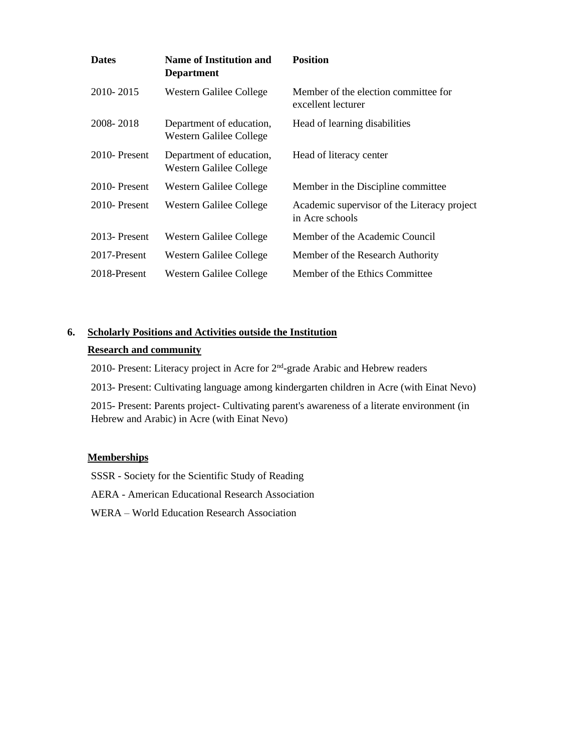| <b>Dates</b>    | Name of Institution and<br><b>Department</b>        | <b>Position</b>                                                |
|-----------------|-----------------------------------------------------|----------------------------------------------------------------|
| 2010-2015       | Western Galilee College                             | Member of the election committee for<br>excellent lecturer     |
| 2008-2018       | Department of education,<br>Western Galilee College | Head of learning disabilities                                  |
| $2010$ -Present | Department of education,<br>Western Galilee College | Head of literacy center                                        |
| $2010$ -Present | Western Galilee College                             | Member in the Discipline committee                             |
| $2010$ -Present | Western Galilee College                             | Academic supervisor of the Literacy project<br>in Acre schools |
| 2013-Present    | Western Galilee College                             | Member of the Academic Council                                 |
| 2017-Present    | Western Galilee College                             | Member of the Research Authority                               |
| 2018-Present    | Western Galilee College                             | Member of the Ethics Committee                                 |

# **6. Scholarly Positions and Activities outside the Institution**

## **Research and community**

2010- Present: Literacy project in Acre for 2<sup>nd</sup>-grade Arabic and Hebrew readers

2013- Present: Cultivating language among kindergarten children in Acre (with Einat Nevo)

2015- Present: Parents project- Cultivating parent's awareness of a literate environment (in Hebrew and Arabic) in Acre (with Einat Nevo)

## **Memberships**

SSSR - Society for the Scientific Study of Reading

AERA - [American Educational Research Association](http://www.aera.net/)

WERA – World Education Research Association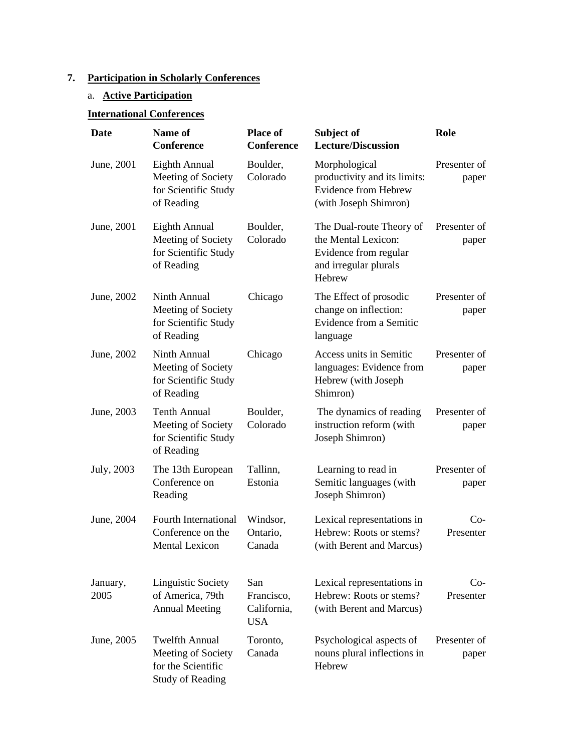## **7. Participation in Scholarly Conferences**

# a. **Active Participation**

## **International Conferences**

| <b>Date</b>      | Name of<br><b>Conference</b>                                                                 | <b>Place of</b><br><b>Conference</b>           | Subject of<br><b>Lecture/Discussion</b>                                                                     | Role                  |
|------------------|----------------------------------------------------------------------------------------------|------------------------------------------------|-------------------------------------------------------------------------------------------------------------|-----------------------|
| June, 2001       | <b>Eighth Annual</b><br>Meeting of Society<br>for Scientific Study<br>of Reading             | Boulder,<br>Colorado                           | Morphological<br>productivity and its limits:<br><b>Evidence from Hebrew</b><br>(with Joseph Shimron)       | Presenter of<br>paper |
| June, 2001       | <b>Eighth Annual</b><br>Meeting of Society<br>for Scientific Study<br>of Reading             | Boulder,<br>Colorado                           | The Dual-route Theory of<br>the Mental Lexicon:<br>Evidence from regular<br>and irregular plurals<br>Hebrew | Presenter of<br>paper |
| June, 2002       | Ninth Annual<br>Meeting of Society<br>for Scientific Study<br>of Reading                     | Chicago                                        | The Effect of prosodic<br>change on inflection:<br>Evidence from a Semitic<br>language                      | Presenter of<br>paper |
| June, 2002       | Ninth Annual<br>Meeting of Society<br>for Scientific Study<br>of Reading                     | Chicago                                        | Access units in Semitic<br>languages: Evidence from<br>Hebrew (with Joseph<br>Shimron)                      | Presenter of<br>paper |
| June, 2003       | <b>Tenth Annual</b><br>Meeting of Society<br>for Scientific Study<br>of Reading              | Boulder,<br>Colorado                           | The dynamics of reading<br>instruction reform (with<br>Joseph Shimron)                                      | Presenter of<br>paper |
| July, 2003       | The 13th European<br>Conference on<br>Reading                                                | Tallinn,<br>Estonia                            | Learning to read in<br>Semitic languages (with<br>Joseph Shimron)                                           | Presenter of<br>paper |
| June, 2004       | <b>Fourth International</b><br>Conference on the<br><b>Mental Lexicon</b>                    | Windsor,<br>Ontario,<br>Canada                 | Lexical representations in<br>Hebrew: Roots or stems?<br>(with Berent and Marcus)                           | $Co-$<br>Presenter    |
| January,<br>2005 | <b>Linguistic Society</b><br>of America, 79th<br><b>Annual Meeting</b>                       | San<br>Francisco,<br>California,<br><b>USA</b> | Lexical representations in<br>Hebrew: Roots or stems?<br>(with Berent and Marcus)                           | $Co-$<br>Presenter    |
| June, 2005       | <b>Twelfth Annual</b><br>Meeting of Society<br>for the Scientific<br><b>Study of Reading</b> | Toronto,<br>Canada                             | Psychological aspects of<br>nouns plural inflections in<br>Hebrew                                           | Presenter of<br>paper |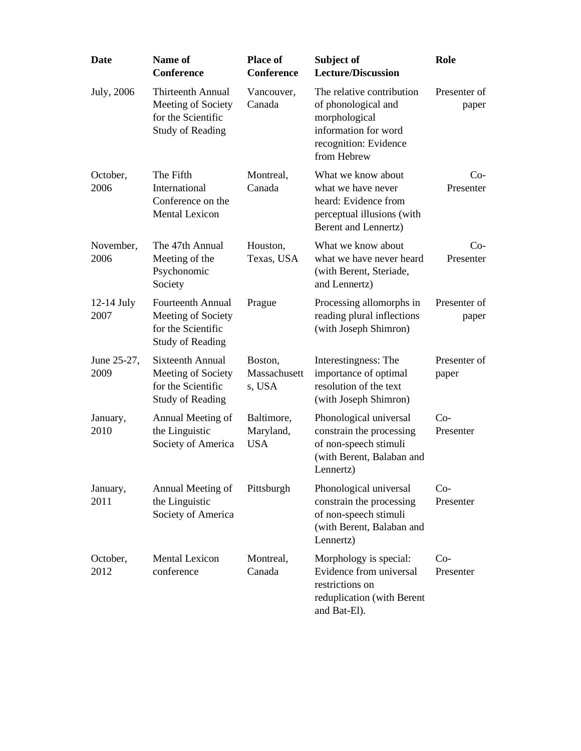| <b>Date</b>          | Name of<br><b>Conference</b>                                                                   | Place of<br><b>Conference</b>         | Subject of<br><b>Lecture/Discussion</b>                                                                                           | Role                  |
|----------------------|------------------------------------------------------------------------------------------------|---------------------------------------|-----------------------------------------------------------------------------------------------------------------------------------|-----------------------|
| July, 2006           | Thirteenth Annual<br>Meeting of Society<br>for the Scientific<br><b>Study of Reading</b>       | Vancouver,<br>Canada                  | The relative contribution<br>of phonological and<br>morphological<br>information for word<br>recognition: Evidence<br>from Hebrew | Presenter of<br>paper |
| October,<br>2006     | The Fifth<br>International<br>Conference on the<br><b>Mental Lexicon</b>                       | Montreal,<br>Canada                   | What we know about<br>what we have never<br>heard: Evidence from<br>perceptual illusions (with<br>Berent and Lennertz)            | $Co-$<br>Presenter    |
| November,<br>2006    | The 47th Annual<br>Meeting of the<br>Psychonomic<br>Society                                    | Houston,<br>Texas, USA                | What we know about<br>what we have never heard<br>(with Berent, Steriade,<br>and Lennertz)                                        | $Co-$<br>Presenter    |
| $12-14$ July<br>2007 | Fourteenth Annual<br>Meeting of Society<br>for the Scientific<br><b>Study of Reading</b>       | Prague                                | Processing allomorphs in<br>reading plural inflections<br>(with Joseph Shimron)                                                   | Presenter of<br>paper |
| June 25-27,<br>2009  | <b>Sixteenth Annual</b><br>Meeting of Society<br>for the Scientific<br><b>Study of Reading</b> | Boston,<br>Massachusett<br>s, USA     | Interestingness: The<br>importance of optimal<br>resolution of the text<br>(with Joseph Shimron)                                  | Presenter of<br>paper |
| January,<br>2010     | Annual Meeting of<br>the Linguistic<br>Society of America                                      | Baltimore,<br>Maryland,<br><b>USA</b> | Phonological universal<br>constrain the processing<br>of non-speech stimuli<br>(with Berent, Balaban and<br>Lennertz)             | $Co-$<br>Presenter    |
| January,<br>2011     | Annual Meeting of<br>the Linguistic<br>Society of America                                      | Pittsburgh                            | Phonological universal<br>constrain the processing<br>of non-speech stimuli<br>(with Berent, Balaban and<br>Lennertz)             | $Co-$<br>Presenter    |
| October,<br>2012     | <b>Mental Lexicon</b><br>conference                                                            | Montreal,<br>Canada                   | Morphology is special:<br>Evidence from universal<br>restrictions on<br>reduplication (with Berent<br>and Bat-El).                | $Co-$<br>Presenter    |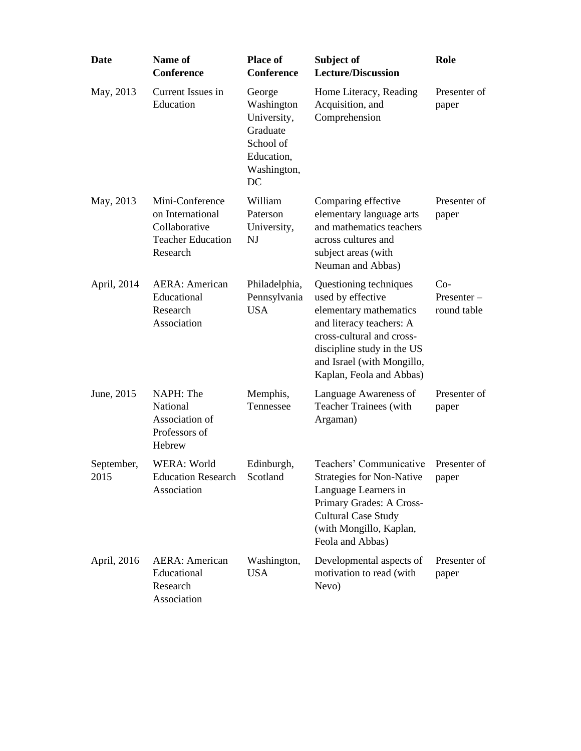| <b>Date</b>        | Name of<br><b>Conference</b>                                                                 | <b>Place of</b><br><b>Conference</b>                                                            | Subject of<br><b>Lecture/Discussion</b>                                                                                                                                                                                | Role                                  |
|--------------------|----------------------------------------------------------------------------------------------|-------------------------------------------------------------------------------------------------|------------------------------------------------------------------------------------------------------------------------------------------------------------------------------------------------------------------------|---------------------------------------|
| May, 2013          | Current Issues in<br>Education                                                               | George<br>Washington<br>University,<br>Graduate<br>School of<br>Education,<br>Washington,<br>DC | Home Literacy, Reading<br>Acquisition, and<br>Comprehension                                                                                                                                                            | Presenter of<br>paper                 |
| May, 2013          | Mini-Conference<br>on International<br>Collaborative<br><b>Teacher Education</b><br>Research | William<br>Paterson<br>University,<br>NJ                                                        | Comparing effective<br>elementary language arts<br>and mathematics teachers<br>across cultures and<br>subject areas (with<br>Neuman and Abbas)                                                                         | Presenter of<br>paper                 |
| April, 2014        | <b>AERA</b> : American<br>Educational<br>Research<br>Association                             | Philadelphia,<br>Pennsylvania<br><b>USA</b>                                                     | Questioning techniques<br>used by effective<br>elementary mathematics<br>and literacy teachers: A<br>cross-cultural and cross-<br>discipline study in the US<br>and Israel (with Mongillo,<br>Kaplan, Feola and Abbas) | $Co-$<br>$Presenter -$<br>round table |
| June, 2015         | NAPH: The<br>National<br>Association of<br>Professors of<br>Hebrew                           | Memphis,<br>Tennessee                                                                           | Language Awareness of<br><b>Teacher Trainees (with</b><br>Argaman)                                                                                                                                                     | Presenter of<br>paper                 |
| September,<br>2015 | WERA: World<br>Education Research Scotland<br>Association                                    | Edinburgh,                                                                                      | Teachers' Communicative<br><b>Strategies for Non-Native</b><br>Language Learners in<br>Primary Grades: A Cross-<br><b>Cultural Case Study</b><br>(with Mongillo, Kaplan,<br>Feola and Abbas)                           | Presenter of<br>paper                 |
| April, 2016        | <b>AERA</b> : American<br>Educational<br>Research<br>Association                             | Washington,<br><b>USA</b>                                                                       | Developmental aspects of<br>motivation to read (with<br>Nevo)                                                                                                                                                          | Presenter of<br>paper                 |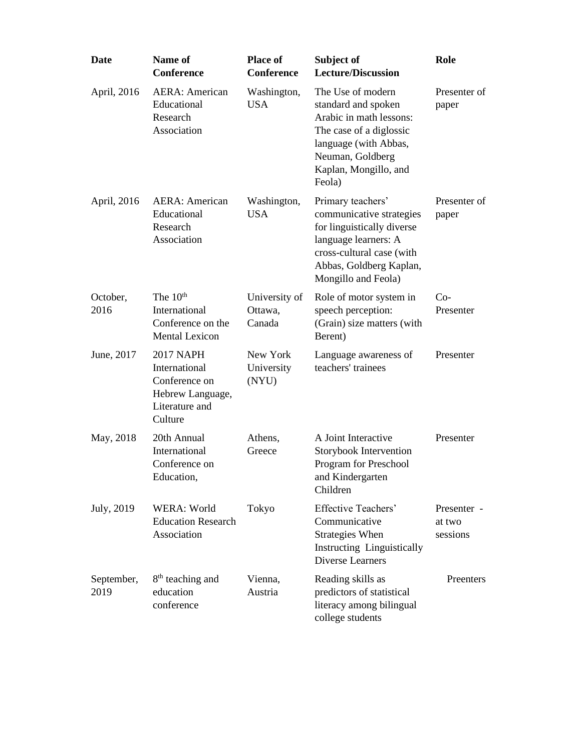| <b>Date</b>        | Name of<br><b>Conference</b>                                                                        | <b>Place of</b><br><b>Conference</b> | Subject of<br><b>Lecture/Discussion</b>                                                                                                                                            | Role                              |
|--------------------|-----------------------------------------------------------------------------------------------------|--------------------------------------|------------------------------------------------------------------------------------------------------------------------------------------------------------------------------------|-----------------------------------|
| April, 2016        | <b>AERA</b> : American<br>Educational<br>Research<br>Association                                    | Washington,<br><b>USA</b>            | The Use of modern<br>standard and spoken<br>Arabic in math lessons:<br>The case of a diglossic<br>language (with Abbas,<br>Neuman, Goldberg<br>Kaplan, Mongillo, and<br>Feola)     | Presenter of<br>paper             |
| April, 2016        | <b>AERA</b> : American<br>Educational<br>Research<br>Association                                    | Washington,<br><b>USA</b>            | Primary teachers'<br>communicative strategies<br>for linguistically diverse<br>language learners: A<br>cross-cultural case (with<br>Abbas, Goldberg Kaplan,<br>Mongillo and Feola) | Presenter of<br>paper             |
| October,<br>2016   | The $10th$<br>International<br>Conference on the<br><b>Mental Lexicon</b>                           | University of<br>Ottawa,<br>Canada   | Role of motor system in<br>speech perception:<br>(Grain) size matters (with<br>Berent)                                                                                             | $Co-$<br>Presenter                |
| June, 2017         | <b>2017 NAPH</b><br>International<br>Conference on<br>Hebrew Language,<br>Literature and<br>Culture | New York<br>University<br>(NYU)      | Language awareness of<br>teachers' trainees                                                                                                                                        | Presenter                         |
| May, 2018          | 20th Annual<br>International<br>Conference on<br>Education,                                         | Athens,<br>Greece                    | A Joint Interactive<br>Storybook Intervention<br>Program for Preschool<br>and Kindergarten<br>Children                                                                             | Presenter                         |
| July, 2019         | WERA: World<br><b>Education Research</b><br>Association                                             | Tokyo                                | Effective Teachers'<br>Communicative<br><b>Strategies When</b><br>Instructing Linguistically<br><b>Diverse Learners</b>                                                            | Presenter -<br>at two<br>sessions |
| September,<br>2019 | 8 <sup>th</sup> teaching and<br>education<br>conference                                             | Vienna,<br>Austria                   | Reading skills as<br>predictors of statistical<br>literacy among bilingual<br>college students                                                                                     | Preenters                         |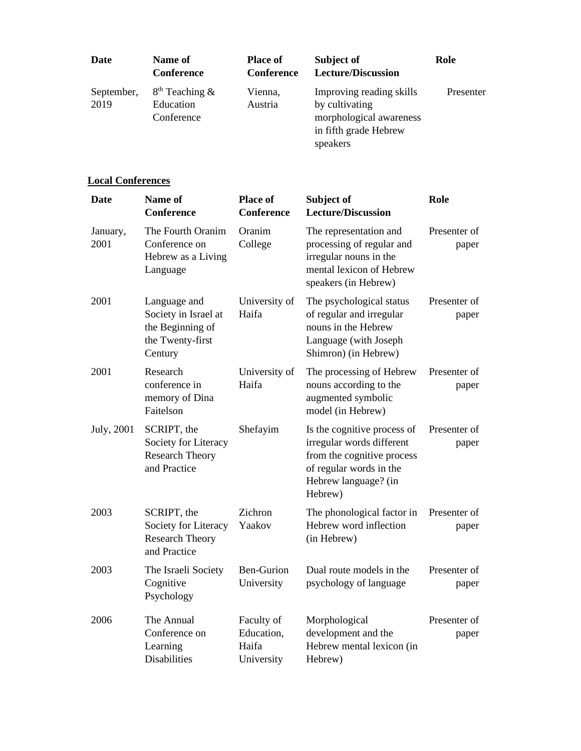| Date               | Name of<br><b>Conference</b>                  | <b>Place of</b><br><b>Conference</b> | Subject of<br><b>Lecture/Discussion</b>                                                                    | Role      |
|--------------------|-----------------------------------------------|--------------------------------------|------------------------------------------------------------------------------------------------------------|-----------|
| September,<br>2019 | $8th$ Teaching $&$<br>Education<br>Conference | Vienna,<br>Austria                   | Improving reading skills<br>by cultivating<br>morphological awareness<br>in fifth grade Hebrew<br>speakers | Presenter |

## **Local Conferences**

| <b>Date</b>      | Name of<br><b>Conference</b>                                                            | <b>Place of</b><br><b>Conference</b>            | Subject of<br><b>Lecture/Discussion</b>                                                                                                              | Role                  |
|------------------|-----------------------------------------------------------------------------------------|-------------------------------------------------|------------------------------------------------------------------------------------------------------------------------------------------------------|-----------------------|
| January,<br>2001 | The Fourth Oranim<br>Conference on<br>Hebrew as a Living<br>Language                    | Oranim<br>College                               | The representation and<br>processing of regular and<br>irregular nouns in the<br>mental lexicon of Hebrew<br>speakers (in Hebrew)                    | Presenter of<br>paper |
| 2001             | Language and<br>Society in Israel at<br>the Beginning of<br>the Twenty-first<br>Century | University of<br>Haifa                          | The psychological status<br>of regular and irregular<br>nouns in the Hebrew<br>Language (with Joseph<br>Shimron) (in Hebrew)                         | Presenter of<br>paper |
| 2001             | Research<br>conference in<br>memory of Dina<br>Faitelson                                | University of<br>Haifa                          | The processing of Hebrew<br>nouns according to the<br>augmented symbolic<br>model (in Hebrew)                                                        | Presenter of<br>paper |
| July, 2001       | SCRIPT, the<br>Society for Literacy<br><b>Research Theory</b><br>and Practice           | Shefayim                                        | Is the cognitive process of<br>irregular words different<br>from the cognitive process<br>of regular words in the<br>Hebrew language? (in<br>Hebrew) | Presenter of<br>paper |
| 2003             | SCRIPT, the<br>Society for Literacy<br><b>Research Theory</b><br>and Practice           | Zichron<br>Yaakov                               | The phonological factor in<br>Hebrew word inflection<br>(in Hebrew)                                                                                  | Presenter of<br>paper |
| 2003             | The Israeli Society<br>Cognitive<br>Psychology                                          | <b>Ben-Gurion</b><br>University                 | Dual route models in the<br>psychology of language                                                                                                   | Presenter of<br>paper |
| 2006             | The Annual<br>Conference on<br>Learning<br><b>Disabilities</b>                          | Faculty of<br>Education,<br>Haifa<br>University | Morphological<br>development and the<br>Hebrew mental lexicon (in<br>Hebrew)                                                                         | Presenter of<br>paper |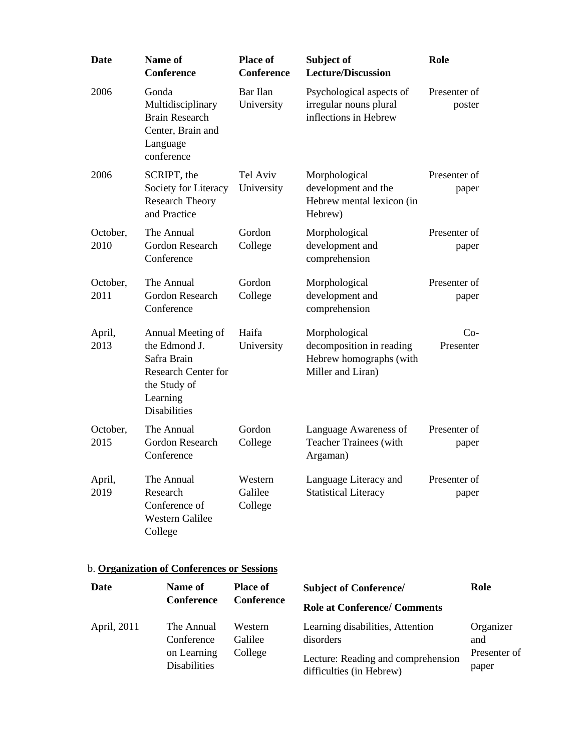| Date             | Name of<br><b>Conference</b>                                                                                                       | <b>Place of</b><br><b>Conference</b> | Subject of<br><b>Lecture/Discussion</b>                                                   | Role                   |
|------------------|------------------------------------------------------------------------------------------------------------------------------------|--------------------------------------|-------------------------------------------------------------------------------------------|------------------------|
| 2006             | Gonda<br>Multidisciplinary<br><b>Brain Research</b><br>Center, Brain and<br>Language<br>conference                                 | Bar Ilan<br>University               | Psychological aspects of<br>irregular nouns plural<br>inflections in Hebrew               | Presenter of<br>poster |
| 2006             | SCRIPT, the<br>Society for Literacy<br><b>Research Theory</b><br>and Practice                                                      | Tel Aviv<br>University               | Morphological<br>development and the<br>Hebrew mental lexicon (in<br>Hebrew)              | Presenter of<br>paper  |
| October,<br>2010 | The Annual<br>Gordon Research<br>Conference                                                                                        | Gordon<br>College                    | Morphological<br>development and<br>comprehension                                         | Presenter of<br>paper  |
| October,<br>2011 | The Annual<br>Gordon Research<br>Conference                                                                                        | Gordon<br>College                    | Morphological<br>development and<br>comprehension                                         | Presenter of<br>paper  |
| April,<br>2013   | Annual Meeting of<br>the Edmond J.<br>Safra Brain<br><b>Research Center for</b><br>the Study of<br>Learning<br><b>Disabilities</b> | Haifa<br>University                  | Morphological<br>decomposition in reading<br>Hebrew homographs (with<br>Miller and Liran) | $Co-$<br>Presenter     |
| October,<br>2015 | The Annual<br>Gordon Research<br>Conference                                                                                        | Gordon<br>College                    | Language Awareness of<br>Teacher Trainees (with<br>Argaman)                               | Presenter of<br>paper  |
| April,<br>2019   | The Annual<br>Research<br>Conference of<br><b>Western Galilee</b><br>College                                                       | Western<br>Galilee<br>College        | Language Literacy and<br><b>Statistical Literacy</b>                                      | Presenter of<br>paper  |

## b. **Organization of Conferences or Sessions**

| Date        | Name of                                                        | <b>Place of</b>               | <b>Subject of Conference/</b>                                                                                   | Role                                      |
|-------------|----------------------------------------------------------------|-------------------------------|-----------------------------------------------------------------------------------------------------------------|-------------------------------------------|
|             | <b>Conference</b>                                              | <b>Conference</b>             | <b>Role at Conference/Comments</b>                                                                              |                                           |
| April, 2011 | The Annual<br>Conference<br>on Learning<br><b>Disabilities</b> | Western<br>Galilee<br>College | Learning disabilities, Attention<br>disorders<br>Lecture: Reading and comprehension<br>difficulties (in Hebrew) | Organizer<br>and<br>Presenter of<br>paper |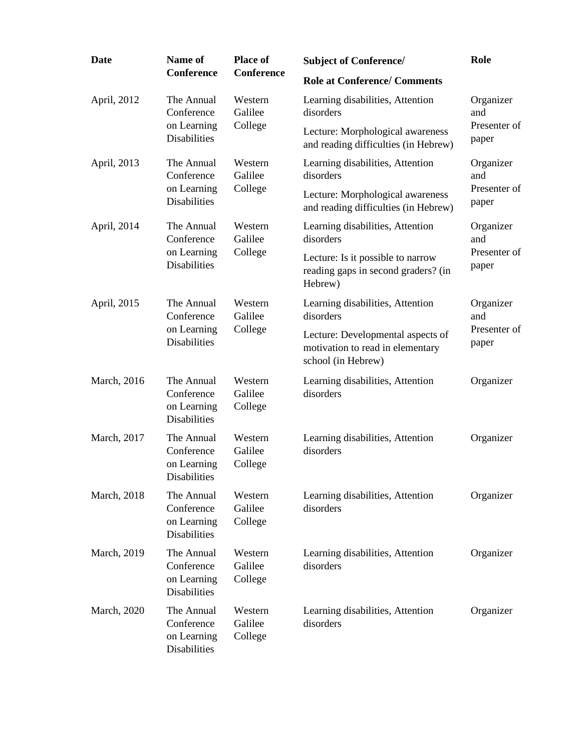| <b>Date</b>         | Name of                                                        | <b>Place of</b>               | <b>Subject of Conference/</b>                                                               | Role                  |  |  |
|---------------------|----------------------------------------------------------------|-------------------------------|---------------------------------------------------------------------------------------------|-----------------------|--|--|
|                     | <b>Conference</b>                                              | <b>Conference</b>             | <b>Role at Conference/ Comments</b>                                                         |                       |  |  |
| April, 2012         | The Annual<br>Conference                                       | Western<br>Galilee            | Learning disabilities, Attention<br>disorders                                               | Organizer<br>and      |  |  |
|                     | on Learning<br>Disabilities                                    | College                       | Lecture: Morphological awareness<br>and reading difficulties (in Hebrew)                    | Presenter of<br>paper |  |  |
| April, 2013         | The Annual<br>Conference                                       | Western<br>Galilee            | Learning disabilities, Attention<br>disorders                                               | Organizer<br>and      |  |  |
|                     | on Learning<br>Disabilities                                    | College                       | Lecture: Morphological awareness<br>and reading difficulties (in Hebrew)                    | Presenter of<br>paper |  |  |
| April, 2014         | The Annual<br>Conference                                       | Western<br>Galilee            | Learning disabilities, Attention<br>disorders                                               | Organizer<br>and      |  |  |
|                     | on Learning<br>Disabilities                                    | College                       | Lecture: Is it possible to narrow<br>reading gaps in second graders? (in<br>Hebrew)         | Presenter of<br>paper |  |  |
| April, 2015         | The Annual<br>Conference<br>on Learning<br><b>Disabilities</b> | Western<br>Galilee<br>College | Learning disabilities, Attention<br>disorders                                               | Organizer<br>and      |  |  |
|                     |                                                                |                               | Lecture: Developmental aspects of<br>motivation to read in elementary<br>school (in Hebrew) | Presenter of<br>paper |  |  |
| March, 2016         | The Annual<br>Conference<br>on Learning<br><b>Disabilities</b> | Western<br>Galilee<br>College | Learning disabilities, Attention<br>disorders                                               | Organizer             |  |  |
| March, 2017         | The Annual<br>Conference<br>on Learning<br><b>Disabilities</b> | Western<br>Galilee<br>College | Learning disabilities, Attention<br>disorders                                               | Organizer             |  |  |
| <b>March</b> , 2018 | The Annual<br>Conference<br>on Learning<br><b>Disabilities</b> | Western<br>Galilee<br>College | Learning disabilities, Attention<br>disorders                                               | Organizer             |  |  |
| <b>March</b> , 2019 | The Annual<br>Conference<br>on Learning<br><b>Disabilities</b> | Western<br>Galilee<br>College | Learning disabilities, Attention<br>disorders                                               | Organizer             |  |  |
| March, 2020         | The Annual<br>Conference<br>on Learning<br>Disabilities        | Western<br>Galilee<br>College | Learning disabilities, Attention<br>disorders                                               | Organizer             |  |  |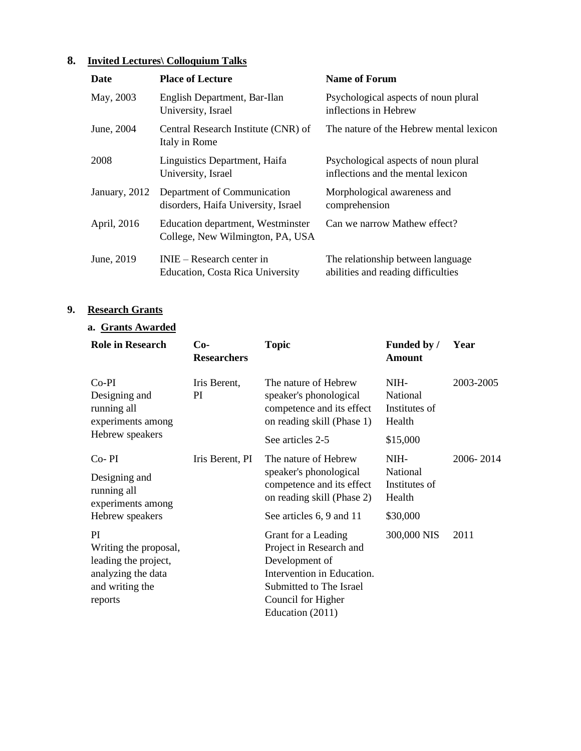# **8. Invited Lectures\ Colloquium Talks**

| Date          | <b>Place of Lecture</b>                                                | <b>Name of Forum</b>                                                       |
|---------------|------------------------------------------------------------------------|----------------------------------------------------------------------------|
| May, 2003     | English Department, Bar-Ilan<br>University, Israel                     | Psychological aspects of noun plural<br>inflections in Hebrew              |
| June, 2004    | Central Research Institute (CNR) of<br>Italy in Rome                   | The nature of the Hebrew mental lexicon                                    |
| 2008          | Linguistics Department, Haifa<br>University, Israel                    | Psychological aspects of noun plural<br>inflections and the mental lexicon |
| January, 2012 | Department of Communication<br>disorders, Haifa University, Israel     | Morphological awareness and<br>comprehension                               |
| April, 2016   | Education department, Westminster<br>College, New Wilmington, PA, USA  | Can we narrow Mathew effect?                                               |
| June, 2019    | $INIE - Research center in$<br><b>Education, Costa Rica University</b> | The relationship between language<br>abilities and reading difficulties    |

## **9. Research Grants**

# **a. Grants Awarded**

| <b>Role in Research</b>                                                                                  | $Co-$<br><b>Researchers</b> | <b>Topic</b>                                                                                                                                                        | Funded by /<br><b>Amount</b>                | Year      |  |
|----------------------------------------------------------------------------------------------------------|-----------------------------|---------------------------------------------------------------------------------------------------------------------------------------------------------------------|---------------------------------------------|-----------|--|
| $Co-PI$<br>Designing and<br>running all<br>experiments among                                             | Iris Berent,<br>PI          | The nature of Hebrew<br>speaker's phonological<br>competence and its effect<br>on reading skill (Phase 1)                                                           | NIH-<br>National<br>Institutes of<br>Health | 2003-2005 |  |
| Hebrew speakers                                                                                          |                             | See articles 2-5                                                                                                                                                    | \$15,000                                    |           |  |
| $Co-PI$<br>Designing and<br>running all<br>experiments among                                             | Iris Berent, PI             | The nature of Hebrew<br>speaker's phonological<br>competence and its effect<br>on reading skill (Phase 2)                                                           | NIH-<br>National<br>Institutes of<br>Health | 2006-2014 |  |
| Hebrew speakers                                                                                          |                             | See articles 6, 9 and 11                                                                                                                                            | \$30,000                                    |           |  |
| PI.<br>Writing the proposal,<br>leading the project,<br>analyzing the data<br>and writing the<br>reports |                             | Grant for a Leading<br>Project in Research and<br>Development of<br>Intervention in Education.<br>Submitted to The Israel<br>Council for Higher<br>Education (2011) | 300,000 NIS                                 | 2011      |  |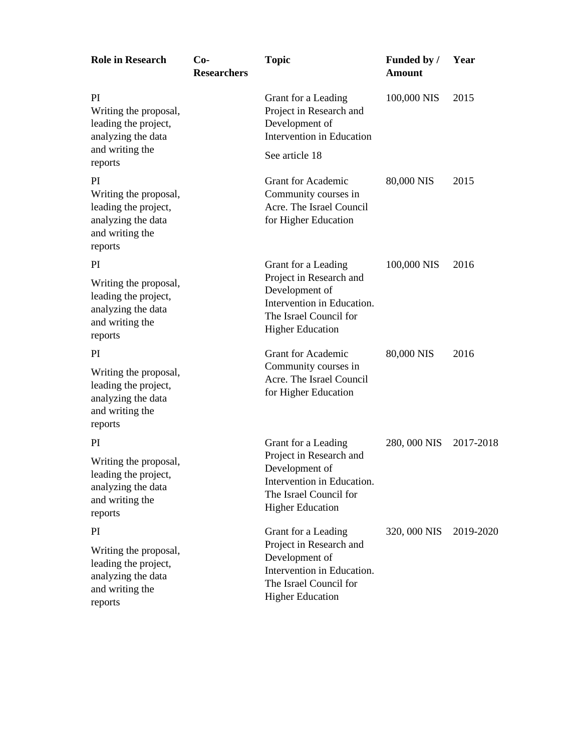| <b>Role in Research</b>                                                                                 | $Co-$<br><b>Researchers</b> | <b>Topic</b>                                                                                                                                        | Funded by /<br><b>Amount</b> | Year      |
|---------------------------------------------------------------------------------------------------------|-----------------------------|-----------------------------------------------------------------------------------------------------------------------------------------------------|------------------------------|-----------|
| PI<br>Writing the proposal,<br>leading the project,<br>analyzing the data<br>and writing the<br>reports |                             | Grant for a Leading<br>Project in Research and<br>Development of<br>Intervention in Education<br>See article 18                                     | 100,000 NIS                  | 2015      |
| PI<br>Writing the proposal,<br>leading the project,<br>analyzing the data<br>and writing the<br>reports |                             | <b>Grant for Academic</b><br>Community courses in<br>Acre. The Israel Council<br>for Higher Education                                               | 80,000 NIS                   | 2015      |
| PI<br>Writing the proposal,<br>leading the project,<br>analyzing the data<br>and writing the<br>reports |                             | Grant for a Leading<br>Project in Research and<br>Development of<br>Intervention in Education.<br>The Israel Council for<br><b>Higher Education</b> | 100,000 NIS                  | 2016      |
| PI<br>Writing the proposal,<br>leading the project,<br>analyzing the data<br>and writing the<br>reports |                             | <b>Grant for Academic</b><br>Community courses in<br>Acre. The Israel Council<br>for Higher Education                                               | 80,000 NIS                   | 2016      |
| PI<br>Writing the proposal,<br>leading the project,<br>analyzing the data<br>and writing the<br>reports |                             | Grant for a Leading<br>Project in Research and<br>Development of<br>Intervention in Education.<br>The Israel Council for<br><b>Higher Education</b> | 280, 000 NIS                 | 2017-2018 |
| PI<br>Writing the proposal,<br>leading the project,<br>analyzing the data<br>and writing the<br>reports |                             | Grant for a Leading<br>Project in Research and<br>Development of<br>Intervention in Education.<br>The Israel Council for<br><b>Higher Education</b> | 320, 000 NIS                 | 2019-2020 |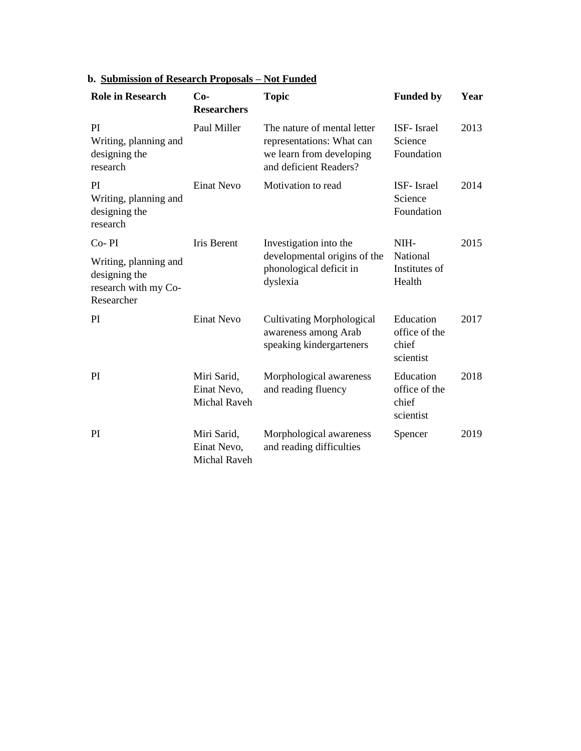## **b. Submission of Research Proposals – Not Funded**

| <b>Role in Research</b>                                                      | $Co-$<br><b>Researchers</b>                       | <b>Topic</b>                                                                                                   | <b>Funded by</b>                                 | Year |
|------------------------------------------------------------------------------|---------------------------------------------------|----------------------------------------------------------------------------------------------------------------|--------------------------------------------------|------|
| PI<br>Writing, planning and<br>designing the<br>research                     | Paul Miller                                       | The nature of mental letter<br>representations: What can<br>we learn from developing<br>and deficient Readers? | ISF-Israel<br>Science<br>Foundation              | 2013 |
| PI<br>Writing, planning and<br>designing the<br>research                     | <b>Einat Nevo</b>                                 | Motivation to read                                                                                             | <b>ISF-Israel</b><br>Science<br>Foundation       | 2014 |
| Co-PI                                                                        | Iris Berent                                       | Investigation into the                                                                                         | NIH-                                             | 2015 |
| Writing, planning and<br>designing the<br>research with my Co-<br>Researcher |                                                   | developmental origins of the<br>phonological deficit in<br>dyslexia                                            | National<br>Institutes of<br>Health              |      |
| PI                                                                           | <b>Einat Nevo</b>                                 | <b>Cultivating Morphological</b><br>awareness among Arab<br>speaking kindergarteners                           | Education<br>office of the<br>chief<br>scientist | 2017 |
| PI                                                                           | Miri Sarid,<br>Einat Nevo,<br><b>Michal Raveh</b> | Morphological awareness<br>and reading fluency                                                                 | Education<br>office of the<br>chief<br>scientist | 2018 |
| PI                                                                           | Miri Sarid,<br>Einat Nevo,<br>Michal Raveh        | Morphological awareness<br>and reading difficulties                                                            | Spencer                                          | 2019 |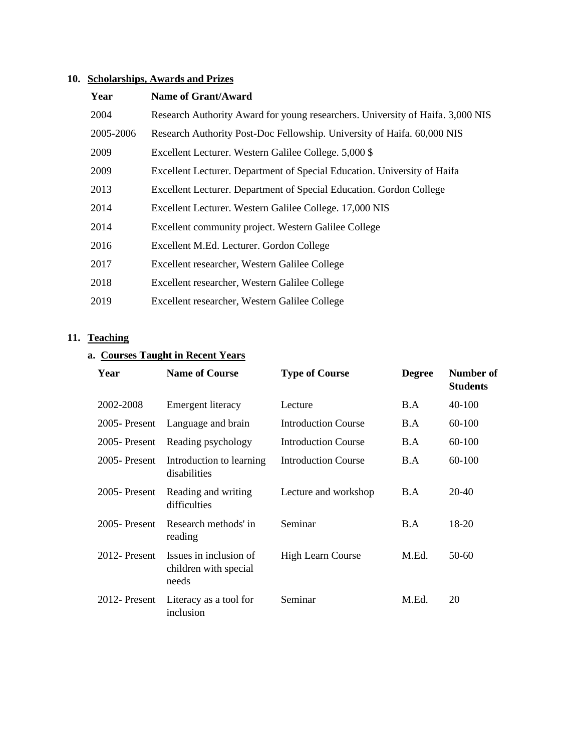# **10. Scholarships, Awards and Prizes**

| Year      | <b>Name of Grant/Award</b>                                                     |
|-----------|--------------------------------------------------------------------------------|
| 2004      | Research Authority Award for young researchers. University of Haifa. 3,000 NIS |
| 2005-2006 | Research Authority Post-Doc Fellowship. University of Haifa. 60,000 NIS        |
| 2009      | Excellent Lecturer. Western Galilee College. 5,000 \$                          |
| 2009      | Excellent Lecturer. Department of Special Education. University of Haifa       |
| 2013      | Excellent Lecturer. Department of Special Education. Gordon College            |
| 2014      | Excellent Lecturer. Western Galilee College. 17,000 NIS                        |
| 2014      | Excellent community project. Western Galilee College                           |
| 2016      | Excellent M.Ed. Lecturer. Gordon College                                       |
| 2017      | Excellent researcher, Western Galilee College                                  |
| 2018      | Excellent researcher, Western Galilee College                                  |
| 2019      | Excellent researcher, Western Galilee College                                  |

## **11. Teaching**

## **a. Courses Taught in Recent Years**

| Year            | <b>Name of Course</b>                                    | <b>Type of Course</b>      | <b>Degree</b> | Number of<br><b>Students</b> |
|-----------------|----------------------------------------------------------|----------------------------|---------------|------------------------------|
| 2002-2008       | Emergent literacy                                        | Lecture                    | B.A           | 40-100                       |
| 2005 - Present  | Language and brain                                       | <b>Introduction Course</b> | B.A           | 60-100                       |
| 2005 - Present  | Reading psychology                                       | <b>Introduction Course</b> | B.A           | 60-100                       |
| 2005 - Present  | Introduction to learning<br>disabilities                 | <b>Introduction Course</b> | B.A           | 60-100                       |
| 2005 - Present  | Reading and writing<br>difficulties                      | Lecture and workshop       | B.A           | 20-40                        |
| 2005-Present    | Research methods' in<br>reading                          | Seminar                    | B.A           | 18-20                        |
| $2012$ -Present | Issues in inclusion of<br>children with special<br>needs | <b>High Learn Course</b>   | M.Ed.         | 50-60                        |
| 2012-Present    | Literacy as a tool for<br>inclusion                      | Seminar                    | M.Ed.         | 20                           |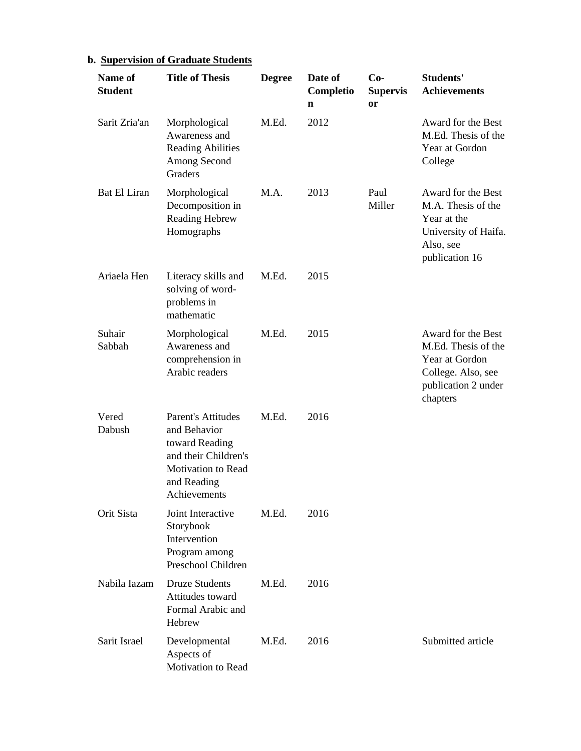# **b. Supervision of Graduate Students**

| Name of<br><b>Student</b> | <b>Title of Thesis</b>                                                                                                                   | <b>Degree</b> | Date of<br>Completio<br>n | $Co-$<br><b>Supervis</b><br><b>or</b> | <b>Students'</b><br><b>Achievements</b>                                                                              |
|---------------------------|------------------------------------------------------------------------------------------------------------------------------------------|---------------|---------------------------|---------------------------------------|----------------------------------------------------------------------------------------------------------------------|
| Sarit Zria'an             | Morphological<br>Awareness and<br><b>Reading Abilities</b><br>Among Second<br>Graders                                                    | M.Ed.         | 2012                      |                                       | Award for the Best<br>M.Ed. Thesis of the<br>Year at Gordon<br>College                                               |
| Bat El Liran              | Morphological<br>Decomposition in<br>Reading Hebrew<br>Homographs                                                                        | M.A.          | 2013                      | Paul<br>Miller                        | Award for the Best<br>M.A. Thesis of the<br>Year at the<br>University of Haifa.<br>Also, see<br>publication 16       |
| Ariaela Hen               | Literacy skills and<br>solving of word-<br>problems in<br>mathematic                                                                     | M.Ed.         | 2015                      |                                       |                                                                                                                      |
| Suhair<br>Sabbah          | Morphological<br>Awareness and<br>comprehension in<br>Arabic readers                                                                     | M.Ed.         | 2015                      |                                       | Award for the Best<br>M.Ed. Thesis of the<br>Year at Gordon<br>College. Also, see<br>publication 2 under<br>chapters |
| Vered<br>Dabush           | <b>Parent's Attitudes</b><br>and Behavior<br>toward Reading<br>and their Children's<br>Motivation to Read<br>and Reading<br>Achievements | M.Ed.         | 2016                      |                                       |                                                                                                                      |
| Orit Sista                | Joint Interactive<br>Storybook<br>Intervention<br>Program among<br>Preschool Children                                                    | M.Ed.         | 2016                      |                                       |                                                                                                                      |
| Nabila Iazam              | <b>Druze Students</b><br>Attitudes toward<br>Formal Arabic and<br>Hebrew                                                                 | M.Ed.         | 2016                      |                                       |                                                                                                                      |
| Sarit Israel              | Developmental<br>Aspects of<br>Motivation to Read                                                                                        | M.Ed.         | 2016                      |                                       | Submitted article                                                                                                    |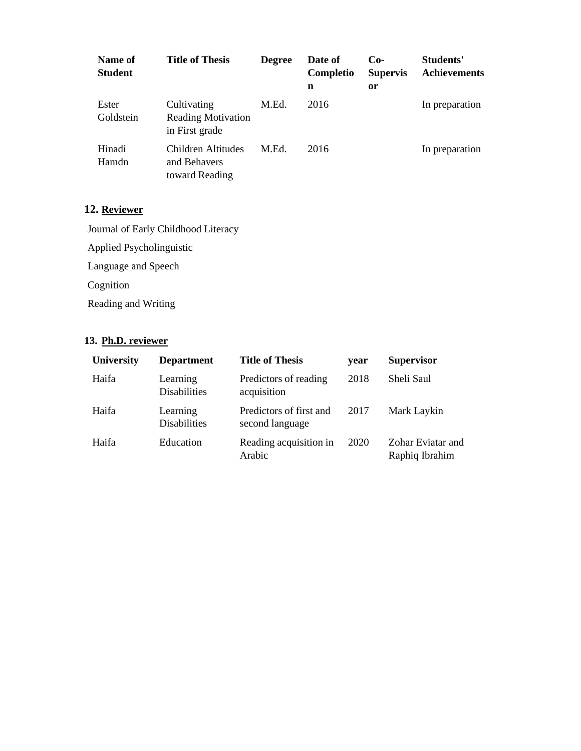| Name of<br><b>Student</b> | <b>Title of Thesis</b>                                     | <b>Degree</b> | Date of<br>Completio<br>n | $Co-$<br><b>Supervis</b><br>0r | Students'<br><b>Achievements</b> |
|---------------------------|------------------------------------------------------------|---------------|---------------------------|--------------------------------|----------------------------------|
| Ester<br>Goldstein        | Cultivating<br><b>Reading Motivation</b><br>in First grade | M.Ed.         | 2016                      |                                | In preparation                   |
| Hinadi<br>Hamdn           | Children Altitudes<br>and Behavers<br>toward Reading       | M.Ed.         | 2016                      |                                | In preparation                   |

# **12. Reviewer**

Journal of Early Childhood Literacy Applied Psycholinguistic Language and Speech Cognition

Reading and Writing

# **13. Ph.D. reviewer**

| <b>University</b> | <b>Department</b>               | <b>Title of Thesis</b>                     | vear | <b>Supervisor</b>                   |
|-------------------|---------------------------------|--------------------------------------------|------|-------------------------------------|
| Haifa             | Learning<br><b>Disabilities</b> | Predictors of reading<br>acquisition       | 2018 | Sheli Saul                          |
| Haifa             | Learning<br><b>Disabilities</b> | Predictors of first and<br>second language | 2017 | Mark Laykin                         |
| Haifa             | Education                       | Reading acquisition in<br>Arabic           | 2020 | Zohar Eviatar and<br>Raphiq Ibrahim |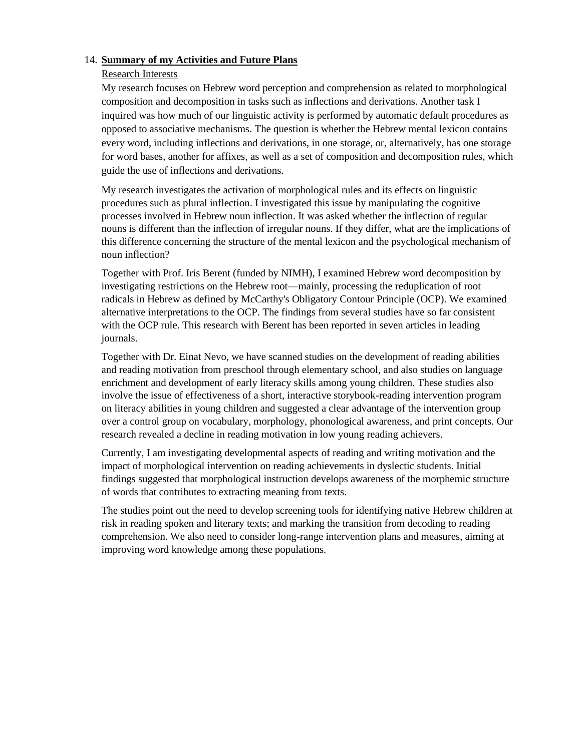## 14. **Summary of my Activities and Future Plans**

## Research Interests

My research focuses on Hebrew word perception and comprehension as related to morphological composition and decomposition in tasks such as inflections and derivations. Another task I inquired was how much of our linguistic activity is performed by automatic default procedures as opposed to associative mechanisms. The question is whether the Hebrew mental lexicon contains every word, including inflections and derivations, in one storage, or, alternatively, has one storage for word bases, another for affixes, as well as a set of composition and decomposition rules, which guide the use of inflections and derivations.

My research investigates the activation of morphological rules and its effects on linguistic procedures such as plural inflection. I investigated this issue by manipulating the cognitive processes involved in Hebrew noun inflection. It was asked whether the inflection of regular nouns is different than the inflection of irregular nouns. If they differ, what are the implications of this difference concerning the structure of the mental lexicon and the psychological mechanism of noun inflection?

Together with Prof. Iris Berent (funded by NIMH), I examined Hebrew word decomposition by investigating restrictions on the Hebrew root—mainly, processing the reduplication of root radicals in Hebrew as defined by McCarthy's Obligatory Contour Principle (OCP). We examined alternative interpretations to the OCP. The findings from several studies have so far consistent with the OCP rule. This research with Berent has been reported in seven articles in leading journals.

Together with Dr. Einat Nevo, we have scanned studies on the development of reading abilities and reading motivation from preschool through elementary school, and also studies on language enrichment and development of early literacy skills among young children. These studies also involve the issue of effectiveness of a short, interactive storybook-reading intervention program on literacy abilities in young children and suggested a clear advantage of the intervention group over a control group on vocabulary, morphology, phonological awareness, and print concepts. Our research revealed a decline in reading motivation in low young reading achievers.

Currently, I am investigating developmental aspects of reading and writing motivation and the impact of morphological intervention on reading achievements in dyslectic students. Initial findings suggested that morphological instruction develops awareness of the morphemic structure of words that contributes to extracting meaning from texts.

The studies point out the need to develop screening tools for identifying native Hebrew children at risk in reading spoken and literary texts; and marking the transition from decoding to reading comprehension. We also need to consider long-range intervention plans and measures, aiming at improving word knowledge among these populations.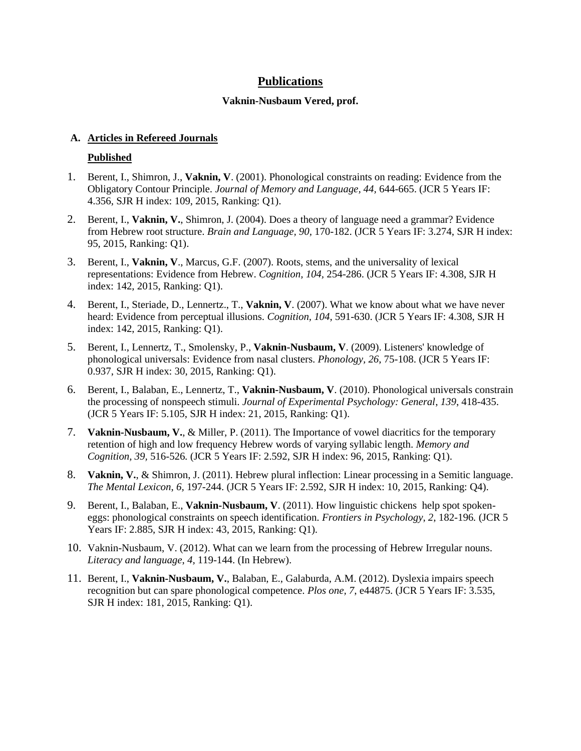## **Publications**

#### **Vaknin-Nusbaum Vered, prof.**

## **A. Articles in Refereed Journals**

## **Published**

- 1. Berent, I., Shimron, J., **Vaknin, V**. (2001). Phonological constraints on reading: Evidence from the Obligatory Contour Principle. *Journal of Memory and Language, 44,* 644-665. (JCR 5 Years IF: 4.356, SJR H index: 109, 2015, Ranking: Q1).
- 2. Berent, I., **Vaknin, V.**, Shimron, J. (2004). Does a theory of language need a grammar? Evidence from Hebrew root structure. *Brain and Language, 90,* 170-182. (JCR 5 Years IF: 3.274, SJR H index: 95, 2015, Ranking: Q1).
- 3. Berent, I., **Vaknin, V**., Marcus, G.F. (2007). Roots, stems, and the universality of lexical representations: Evidence from Hebrew. *Cognition, 104,* 254-286. (JCR 5 Years IF: 4.308, SJR H index: 142, 2015, Ranking: Q1).
- 4. Berent, I., Steriade, D., Lennertz., T., **Vaknin, V**. (2007). What we know about what we have never heard: Evidence from perceptual illusions. *Cognition, 104*, 591-630. (JCR 5 Years IF: 4.308, SJR H index: 142, 2015, Ranking: Q1).
- 5. Berent, I., Lennertz, T., Smolensky, P., **Vaknin-Nusbaum, V**. (2009). Listeners' knowledge of phonological universals: Evidence from nasal clusters. *Phonology, 26*, 75-108. (JCR 5 Years IF: 0.937, SJR H index: 30, 2015, Ranking: Q1).
- 6. Berent, I., Balaban, E., Lennertz, T., **Vaknin-Nusbaum, V**. (2010). Phonological universals constrain the processing of nonspeech stimuli. *Journal of Experimental Psychology: General*, *139*, 418-435. (JCR 5 Years IF: 5.105, SJR H index: 21, 2015, Ranking: Q1).
- 7. **Vaknin-Nusbaum, V.**, & Miller, P. (2011). The Importance of vowel diacritics for the temporary retention of high and low frequency Hebrew words of varying syllabic length. *Memory and Cognition, 39,* 516-526*.* (JCR 5 Years IF: 2.592, SJR H index: 96, 2015, Ranking: Q1).
- 8. **Vaknin, V.**, & Shimron, J. (2011). Hebrew plural inflection: Linear processing in a Semitic language. *The Mental Lexicon*, *6,* 197-244. (JCR 5 Years IF: 2.592, SJR H index: 10, 2015, Ranking: Q4).
- 9. Berent, I., Balaban, E., **Vaknin-Nusbaum, V**. (2011). [How linguistic chickens help spot spoken](http://www.northeastern.edu/berentlab/wp-content/uploads/2012/03/BerentBalabanVaknin-Nusbaum-2011-Frontiers.pdf)[eggs: phonological constraints on speech identification.](http://www.northeastern.edu/berentlab/wp-content/uploads/2012/03/BerentBalabanVaknin-Nusbaum-2011-Frontiers.pdf) *Frontiers in Psychology*, *2*, 182-196*.* (JCR 5 Years IF: 2.885, SJR H index: 43, 2015, Ranking: Q1).
- 10. Vaknin-Nusbaum, V. (2012). What can we learn from the processing of Hebrew Irregular nouns. *Literacy and language*, *4,* 119-144. (In Hebrew).
- 11. Berent, I., **Vaknin-Nusbaum, V.**, Balaban, E., Galaburda, A.M. (2012). Dyslexia impairs speech recognition but can spare phonological competence. *Plos one, 7*, e44875. (JCR 5 Years IF: 3.535, SJR H index: 181, 2015, Ranking: Q1).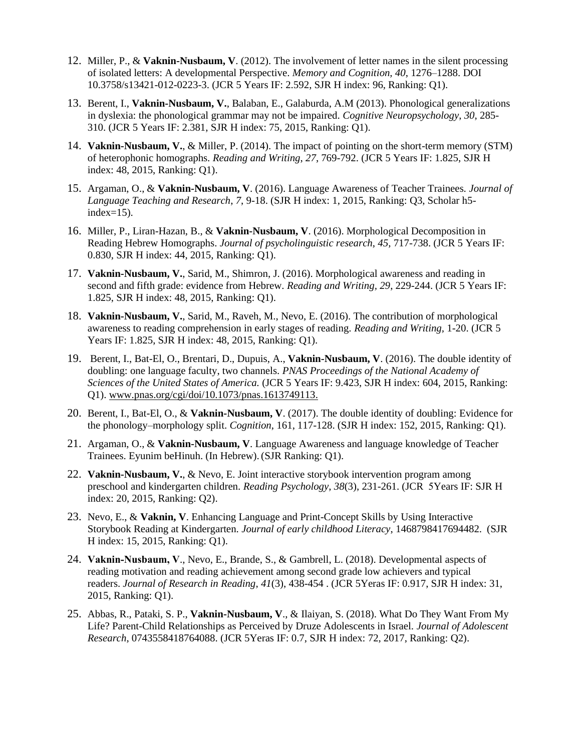- 12. Miller, P., & **Vaknin-Nusbaum, V**. (2012). The involvement of letter names in the silent processing of isolated letters: A developmental Perspective. *Memory and Cognition, 40*, 1276–1288. DOI 10.3758/s13421-012-0223-3. (JCR 5 Years IF: 2.592, SJR H index: 96, Ranking: Q1).
- 13. Berent, I., **Vaknin-Nusbaum, V.**, Balaban, E., Galaburda, A.M (2013). Phonological generalizations in dyslexia: the phonological grammar may not be impaired. *Cognitive Neuropsychology*, *30*, 285- 310. (JCR 5 Years IF: 2.381, SJR H index: 75, 2015, Ranking: Q1).
- 14. **Vaknin-Nusbaum, V.**, & Miller, P. (2014). The impact of pointing on the short-term memory (STM) of heterophonic homographs. *Reading and Writing*, *27*, 769-792. (JCR 5 Years IF: 1.825, SJR H index: 48, 2015, Ranking: Q1).
- 15. Argaman, O., & **Vaknin-Nusbaum, V**. (2016). Language Awareness of Teacher Trainees. *Journal of Language Teaching and Research*, *7*, 9-18. (SJR H index: 1, 2015, Ranking: Q3, Scholar h5  $index=15$ ).
- 16. Miller, P., Liran-Hazan, B., & **Vaknin-Nusbaum, V**. (2016). Morphological Decomposition in Reading Hebrew Homographs. *Journal of psycholinguistic research*, *45,* 717-738. (JCR 5 Years IF: 0.830, SJR H index: 44, 2015, Ranking: Q1).
- 17. **Vaknin-Nusbaum, V.**, Sarid, M., Shimron, J. (2016). Morphological awareness and reading in second and fifth grade: evidence from Hebrew. *Reading and Writing, 29*, 229-244. (JCR 5 Years IF: 1.825, SJR H index: 48, 2015, Ranking: Q1).
- 18. **Vaknin-Nusbaum, V.**, Sarid, M., Raveh, M., Nevo, E. (2016). The contribution of morphological awareness to reading comprehension in early stages of reading. *Reading and Writing,* 1-20. (JCR 5 Years IF: 1.825, SJR H index: 48, 2015, Ranking: Q1).
- 19. Berent, I., Bat-El, O., Brentari, D., Dupuis, A., **Vaknin-Nusbaum, V**. (2016). The double identity of doubling: one language faculty, two channels*. PNAS Proceedings of the National Academy of Sciences of the United States of America.* (JCR 5 Years IF: 9.423, SJR H index: 604, 2015, Ranking: Q1). [www.pnas.org/cgi/doi/10.1073/pnas.1613749113.](http://www.pnas.org/cgi/doi/10.1073/pnas.1613749113)
- 20. Berent, I., Bat-El, O., & **Vaknin-Nusbaum, V**. (2017). The double identity of doubling: Evidence for the phonology–morphology split. *Cognition*, 161, 117-128. (SJR H index: 152, 2015, Ranking: Q1).
- 21. Argaman, O., & **Vaknin-Nusbaum, V**. Language Awareness and language knowledge of Teacher Trainees. Eyunim beHinuh. (In Hebrew).(SJR Ranking: Q1).
- 22. **Vaknin-Nusbaum, V.**, & Nevo, E. Joint interactive storybook intervention program among preschool and kindergarten children. *Reading Psychology*, *38*(3), 231-261. (JCR 5Years IF: SJR H index: 20, 2015, Ranking: Q2).
- 23. Nevo, E., & **Vaknin, V**. Enhancing Language and Print-Concept Skills by Using Interactive Storybook Reading at Kindergarten. *Journal of early childhood Literacy*, 1468798417694482. (SJR H index: 15, 2015, Ranking: Q1).
- 24. **Vaknin‐Nusbaum, V**., Nevo, E., Brande, S., & Gambrell, L. (2018). Developmental aspects of reading motivation and reading achievement among second grade low achievers and typical readers. *Journal of Research in Reading*, *41*(3), 438-454 . (JCR 5Yeras IF: 0.917, SJR H index: 31, 2015, Ranking: Q1).
- 25. Abbas, R., Pataki, S. P., **Vaknin-Nusbaum, V**., & Ilaiyan, S. (2018). What Do They Want From My Life? Parent-Child Relationships as Perceived by Druze Adolescents in Israel. *Journal of Adolescent Research*, 0743558418764088. (JCR 5Yeras IF: 0.7, SJR H index: 72, 2017, Ranking: Q2).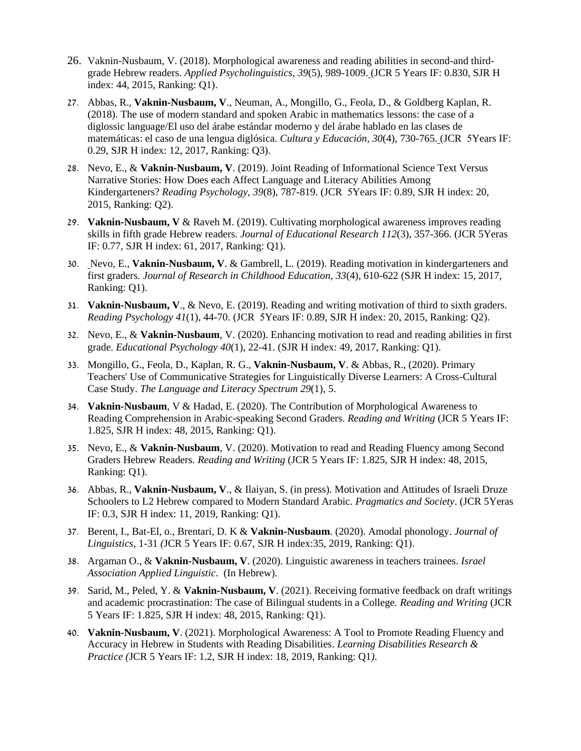- 26. Vaknin-Nusbaum, V. (2018). Morphological awareness and reading abilities in second-and thirdgrade Hebrew readers. *Applied Psycholinguistics*, *39*(5), 989-1009. (JCR 5 Years IF: 0.830, SJR H index: 44, 2015, Ranking: Q1).
- 27. Abbas, R., **Vaknin-Nusbaum, V**., Neuman, A., Mongillo, G., Feola, D., & Goldberg Kaplan, R. (2018). The use of modern standard and spoken Arabic in mathematics lessons: the case of a diglossic language/El uso del árabe estándar moderno y del árabe hablado en las clases de matemáticas: el caso de una lengua diglósica. *Cultura y Educación*, *30*(4), 730-765. (JCR 5Years IF: 0.29, SJR H index: 12, 2017, Ranking: Q3).
- 28. Nevo, E., & **Vaknin-Nusbaum, V**. (2019). Joint Reading of Informational Science Text Versus Narrative Stories: How Does each Affect Language and Literacy Abilities Among Kindergarteners? *Reading Psychology, 39*(8), 787-819. (JCR 5Years IF: 0.89, SJR H index: 20, 2015, Ranking: Q2).
- 29. **Vaknin-Nusbaum, V** & Raveh M. (2019). Cultivating morphological awareness improves reading skills in fifth grade Hebrew readers. *Journal of Educational Research 112*(3), 357-366. (JCR 5Yeras IF: 0.77, SJR H index: 61, 2017, Ranking: Q1).
- 30. Nevo, E., **Vaknin-Nusbaum, V**. & Gambrell, L. (2019). Reading motivation in kindergarteners and first graders. *Journal of Research in Childhood Education*, *33*(4), 610-622 (SJR H index: 15, 2017, Ranking: Q1).
- 31. **Vaknin-Nusbaum, V**., & Nevo, E. (2019). Reading and writing motivation of third to sixth graders. *Reading Psychology 41*(1), 44-70. (JCR 5Years IF: 0.89, SJR H index: 20, 2015, Ranking: Q2).
- 32. Nevo, E., & **Vaknin-Nusbaum**, V. (2020). Enhancing motivation to read and reading abilities in first grade. *Educational Psychology 40*(1), 22-41. (SJR H index: 49, 2017, Ranking: Q1).
- 33. Mongillo, G., Feola, D., Kaplan, R. G., **Vaknin-Nusbaum, V**. & Abbas, R., (2020). Primary Teachers' Use of Communicative Strategies for Linguistically Diverse Learners: A Cross-Cultural Case Study. *The Language and Literacy Spectrum 29*(1), 5.
- 34. **Vaknin-Nusbaum**, V & Hadad, E. (2020). The Contribution of Morphological Awareness to Reading Comprehension in Arabic-speaking Second Graders. *Reading and Writing* (JCR 5 Years IF: 1.825, SJR H index: 48, 2015, Ranking: Q1).
- 35. Nevo, E., & **Vaknin-Nusbaum**, V. (2020). Motivation to read and Reading Fluency among Second Graders Hebrew Readers. *Reading and Writing* (JCR 5 Years IF: 1.825, SJR H index: 48, 2015, Ranking: Q1).
- 36. Abbas, R., **Vaknin-Nusbaum, V**., & Ilaiyan, S. (in press). Motivation and Attitudes of Israeli Druze Schoolers to L2 Hebrew compared to Modern Standard Arabic. *Pragmatics and Society*. (JCR 5Yeras IF: 0.3, SJR H index: 11, 2019, Ranking: Q1).
- 37. Berent, I., Bat-El, o., Brentari, D. K & **Vaknin-Nusbaum**. (2020). Amodal phonology. *Journal of Linguistics*, 1-31 *(*JCR 5 Years IF: 0.67, SJR H index:35, 2019, Ranking: Q1).
- 38. Argaman O., & **Vaknin-Nusbaum, V**. (2020). Linguistic awareness in teachers trainees. *Israel Association Applied Linguistic*. (In Hebrew).
- 39. Sarid, M., Peled, Y. & **Vaknin-Nusbaum, V**. (2021). Receiving formative feedback on draft writings and academic procrastination: The case of Bilingual students in a College. *Reading and Writing* (JCR 5 Years IF: 1.825, SJR H index: 48, 2015, Ranking: Q1).
- 40. **Vaknin-Nusbaum, V**. (2021). Morphological Awareness: A Tool to Promote Reading Fluency and Accuracy in Hebrew in Students with Reading Disabilities. *Learning Disabilities Research & Practice (*JCR 5 Years IF: 1.2, SJR H index: 18, 2019, Ranking: Q1*)*.